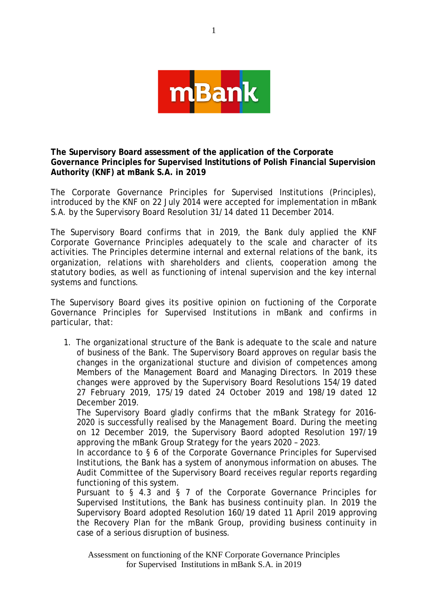

**The Supervisory Board assessment of the application of the Corporate Governance Principles for Supervised Institutions of Polish Financial Supervision Authority (KNF) at mBank S.A. in 2019**

The Corporate Governance Principles for Supervised Institutions (Principles), introduced by the KNF on 22 July 2014 were accepted for implementation in mBank S.A. by the Supervisory Board Resolution 31/14 dated 11 December 2014.

The Supervisory Board confirms that in 2019, the Bank duly applied the KNF Corporate Governance Principles adequately to the scale and character of its activities. The Principles determine internal and external relations of the bank, its organization, relations with shareholders and clients, cooperation among the statutory bodies, as well as functioning of intenal supervision and the key internal systems and functions.

The Supervisory Board gives its positive opinion on fuctioning of the Corporate Governance Principles for Supervised Institutions in mBank and confirms in particular, that:

1. The organizational structure of the Bank is adequate to the scale and nature of business of the Bank. The Supervisory Board approves on regular basis the changes in the organizational stucture and division of competences among Members of the Management Board and Managing Directors. In 2019 these changes were approved by the Supervisory Board Resolutions 154/19 dated 27 February 2019, 175/19 dated 24 October 2019 and 198/19 dated 12 December 2019.

The Supervisory Board gladly confirms that the mBank Strategy for 2016- 2020 is successfully realised by the Management Board. During the meeting on 12 December 2019, the Supervisory Baord adopted Resolution 197/19 approving the mBank Group Strategy for the years 2020 – 2023.

In accordance to § 6 of the Corporate Governance Principles for Supervised Institutions, the Bank has a system of anonymous information on abuses. The Audit Committee of the Supervisory Board receives regular reports regarding functioning of this system.

Pursuant to § 4.3 and § 7 of the Corporate Governance Principles for Supervised Institutions, the Bank has business continuity plan. In 2019 the Supervisory Board adopted Resolution 160/19 dated 11 April 2019 approving the Recovery Plan for the mBank Group, providing business continuity in case of a serious disruption of business.

Assessment on functioning of the KNF Corporate Governance Principles for Supervised Institutions in mBank S.A. in 2019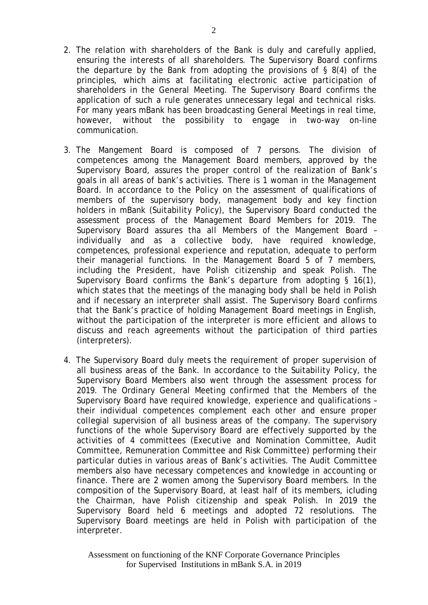- 2. The relation with shareholders of the Bank is duly and carefully applied, ensuring the interests of all shareholders. The Supervisory Board confirms the departure by the Bank from adopting the provisions of § 8(4) of the principles, which aims at facilitating electronic active participation of shareholders in the General Meeting. The Supervisory Board confirms the application of such a rule generates unnecessary legal and technical risks. For many years mBank has been broadcasting General Meetings in real time, however, without the possibility to engage in two-way on-line communication.
- 3. The Mangement Board is composed of 7 persons. The division of competences among the Management Board members, approved by the Supervisory Board, assures the proper control of the realization of Bank's goals in all areas of bank's activities. There is 1 woman in the Management Board. In accordance to the Policy on the assessment of qualifications of members of the supervisory body, management body and key finction holders in mBank (Suitability Policy), the Supervisory Board conducted the assessment process of the Management Board Members for 2019. The Supervisory Board assures tha all Members of the Mangement Board – individually and as a collective body, have required knowledge, competences, professional experience and reputation, adequate to perform their managerial functions. In the Management Board 5 of 7 members, including the President, have Polish citizenship and speak Polish. The Supervisory Board confirms the Bank's departure from adopting § 16(1), which states that the meetings of the managing body shall be held in Polish and if necessary an interpreter shall assist. The Supervisory Board confirms that the Bank's practice of holding Management Board meetings in English, without the participation of the interpreter is more efficient and allows to discuss and reach agreements without the participation of third parties (interpreters).
- 4. The Supervisory Board duly meets the requirement of proper supervision of all business areas of the Bank. In accordance to the Suitability Policy, the Supervisory Board Members also went through the assessment process for 2019. The Ordinary General Meeting confirmed that the Members of the Supervisory Board have required knowledge, experience and qualifications – their individual competences complement each other and ensure proper collegial supervision of all business areas of the company. The supervisory functions of the whole Supervisory Board are effectively supported by the activities of 4 committees (Executive and Nomination Committee, Audit Committee, Remuneration Committee and Risk Committee) performing their particular duties in various areas of Bank's activities. The Audit Committee members also have necessary competences and knowledge in accounting or finance. There are 2 women among the Supervisory Board members. In the composition of the Supervisory Board, at least half of its members, icluding the Chairman, have Polish citizenship and speak Polish. In 2019 the Supervisory Board held 6 meetings and adopted 72 resolutions. The Supervisory Board meetings are held in Polish with participation of the interpreter.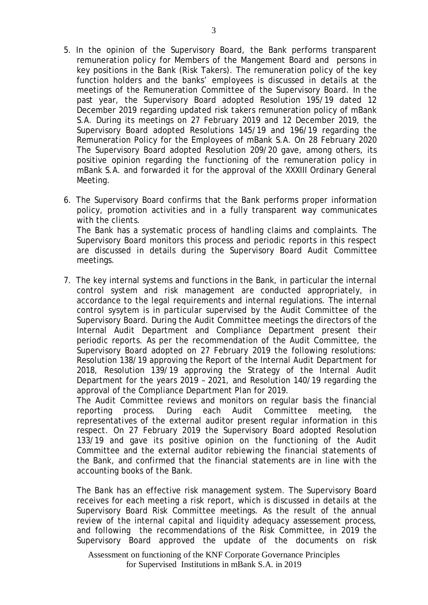- 5. In the opinion of the Supervisory Board, the Bank performs transparent remuneration policy for Members of the Mangement Board and persons in key positions in the Bank (Risk Takers). The remuneration policy of the key function holders and the banks' employees is discussed in details at the meetings of the Remuneration Committee of the Supervisory Board. In the past year, the Supervisory Board adopted Resolution 195/19 dated 12 December 2019 regarding updated risk takers remuneration policy of mBank S.A. During its meetings on 27 February 2019 and 12 December 2019, the Supervisory Board adopted Resolutions 145/19 and 196/19 regarding the Remuneration Policy for the Employees of mBank S.A. On 28 February 2020 The Supervisory Board adopted Resolution 209/20 gave, among others, its positive opinion regarding the functioning of the remuneration policy in mBank S.A. and forwarded it for the approval of the XXXIII Ordinary General Meeting.
- 6. The Supervisory Board confirms that the Bank performs proper information policy, promotion activities and in a fully transparent way communicates with the clients. The Bank has a systematic process of handling claims and complaints. The Supervisory Board monitors this process and periodic reports in this respect are discussed in details during the Supervisory Board Audit Committee meetings.
- 7. The key internal systems and functions in the Bank, in particular the internal control system and risk management are conducted appropriately, in accordance to the legal requirements and internal regulations. The internal control sysytem is in particular supervised by the Audit Committee of the Supervisory Board. During the Audit Committee meetings the directors of the Internal Audit Department and Compliance Department present their periodic reports. As per the recommendation of the Audit Committee, the Supervisory Board adopted on 27 February 2019 the following resolutions: Resolution 138/19 approving the Report of the Internal Audit Department for 2018, Resolution 139/19 approving the Strategy of the Internal Audit Department for the years 2019 – 2021, and Resolution 140/19 regarding the approval of the Compliance Department Plan for 2019.

The Audit Committee reviews and monitors on regular basis the financial reporting process. During each Audit Committee meeting, the representatives of the external auditor present regular information in this respect. On 27 February 2019 the Supervisory Board adopted Resolution 133/19 and gave its positive opinion on the functioning of the Audit Committee and the external auditor rebiewing the financial statements of the Bank, and confirmed that the financial statements are in line with the accounting books of the Bank.

The Bank has an effective risk management system. The Supervisory Board receives for each meeting a risk report, which is discussed in details at the Supervisory Board Risk Committee meetings. As the result of the annual review of the internal capital and liquidity adequacy assessement process, and following the recommendations of the Risk Committee, in 2019 the Supervisory Board approved the update of the documents on risk

Assessment on functioning of the KNF Corporate Governance Principles for Supervised Institutions in mBank S.A. in 2019